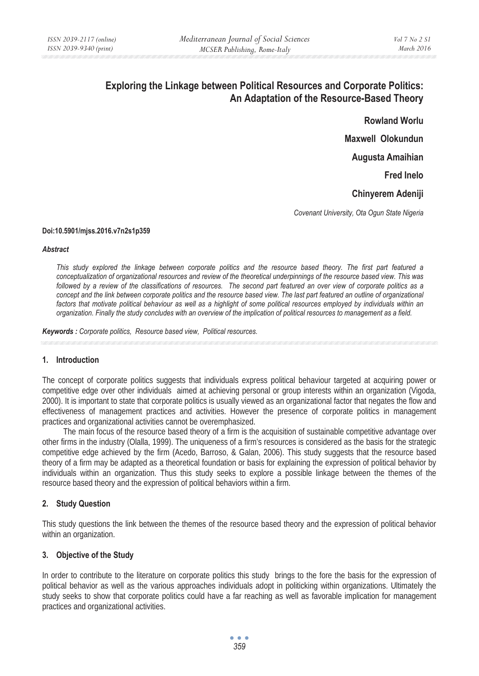# **Exploring the Linkage between Political Resources and Corporate Politics: An Adaptation of the Resource-Based Theory**

 **Rowland Worlu Maxwell Olokundun Augusta Amaihian Fred Inelo** 

**Chinyerem Adeniji** 

*Covenant University, Ota Ogun State Nigeria* 

#### **Doi:10.5901/mjss.2016.v7n2s1p359**

#### *Abstract*

*This study explored the linkage between corporate politics and the resource based theory. The first part featured a conceptualization of organizational resources and review of the theoretical underpinnings of the resource based view. This was*  followed by a review of the classifications of resources. The second part featured an over view of corporate politics as a *concept and the link between corporate politics and the resource based view. The last part featured an outline of organizational*  factors that motivate political behaviour as well as a highlight of some political resources employed by individuals within an *organization. Finally the study concludes with an overview of the implication of political resources to management as a field.* 

*Keywords : Corporate politics, Resource based view, Political resources.* 

#### **1. Introduction**

The concept of corporate politics suggests that individuals express political behaviour targeted at acquiring power or competitive edge over other individuals aimed at achieving personal or group interests within an organization (Vigoda, 2000). It is important to state that corporate politics is usually viewed as an organizational factor that negates the flow and effectiveness of management practices and activities. However the presence of corporate politics in management practices and organizational activities cannot be overemphasized.

The main focus of the resource based theory of a firm is the acquisition of sustainable competitive advantage over other firms in the industry (Olalla, 1999). The uniqueness of a firm's resources is considered as the basis for the strategic competitive edge achieved by the firm (Acedo, Barroso, & Galan, 2006). This study suggests that the resource based theory of a firm may be adapted as a theoretical foundation or basis for explaining the expression of political behavior by individuals within an organization. Thus this study seeks to explore a possible linkage between the themes of the resource based theory and the expression of political behaviors within a firm.

#### **2. Study Question**

This study questions the link between the themes of the resource based theory and the expression of political behavior within an organization.

### **3. Objective of the Study**

In order to contribute to the literature on corporate politics this study brings to the fore the basis for the expression of political behavior as well as the various approaches individuals adopt in politicking within organizations. Ultimately the study seeks to show that corporate politics could have a far reaching as well as favorable implication for management practices and organizational activities.

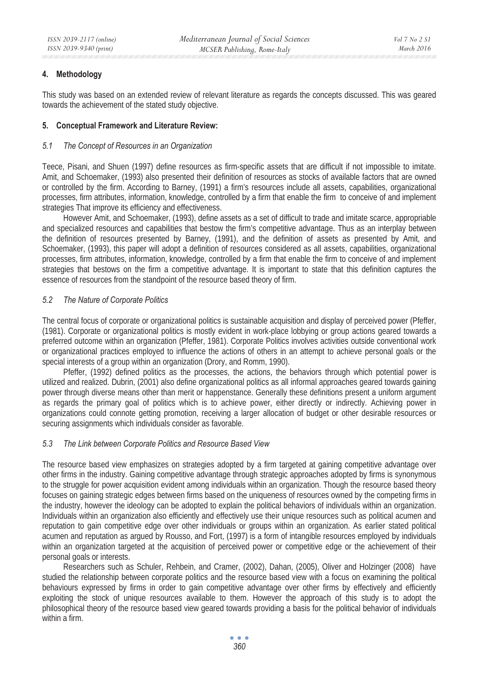# **4. Methodology**

This study was based on an extended review of relevant literature as regards the concepts discussed. This was geared towards the achievement of the stated study objective.

# **5. Conceptual Framework and Literature Review:**

### *5.1 The Concept of Resources in an Organization*

Teece, Pisani, and Shuen (1997) define resources as firm-specific assets that are difficult if not impossible to imitate. Amit, and Schoemaker, (1993) also presented their definition of resources as stocks of available factors that are owned or controlled by the firm. According to Barney, (1991) a firm's resources include all assets, capabilities, organizational processes, firm attributes, information, knowledge, controlled by a firm that enable the firm to conceive of and implement strategies That improve its efficiency and effectiveness.

However Amit, and Schoemaker, (1993), define assets as a set of difficult to trade and imitate scarce, appropriable and specialized resources and capabilities that bestow the firm's competitive advantage. Thus as an interplay between the definition of resources presented by Barney, (1991), and the definition of assets as presented by Amit, and Schoemaker, (1993), this paper will adopt a definition of resources considered as all assets, capabilities, organizational processes, firm attributes, information, knowledge, controlled by a firm that enable the firm to conceive of and implement strategies that bestows on the firm a competitive advantage. It is important to state that this definition captures the essence of resources from the standpoint of the resource based theory of firm.

## *5.2 The Nature of Corporate Politics*

The central focus of corporate or organizational politics is sustainable acquisition and display of perceived power (Pfeffer, (1981). Corporate or organizational politics is mostly evident in work-place lobbying or group actions geared towards a preferred outcome within an organization (Pfeffer, 1981). Corporate Politics involves activities outside conventional work or organizational practices employed to influence the actions of others in an attempt to achieve personal goals or the special interests of a group within an organization (Drory, and Romm, 1990).

Pfeffer, (1992) defined politics as the processes, the actions, the behaviors through which potential power is utilized and realized. Dubrin, (2001) also define organizational politics as all informal approaches geared towards gaining power through diverse means other than merit or happenstance. Generally these definitions present a uniform argument as regards the primary goal of politics which is to achieve power, either directly or indirectly. Achieving power in organizations could connote getting promotion, receiving a larger allocation of budget or other desirable resources or securing assignments which individuals consider as favorable.

#### *5.3 The Link between Corporate Politics and Resource Based View*

The resource based view emphasizes on strategies adopted by a firm targeted at gaining competitive advantage over other firms in the industry. Gaining competitive advantage through strategic approaches adopted by firms is synonymous to the struggle for power acquisition evident among individuals within an organization. Though the resource based theory focuses on gaining strategic edges between firms based on the uniqueness of resources owned by the competing firms in the industry, however the ideology can be adopted to explain the political behaviors of individuals within an organization. Individuals within an organization also efficiently and effectively use their unique resources such as political acumen and reputation to gain competitive edge over other individuals or groups within an organization. As earlier stated political acumen and reputation as argued by Rousso, and Fort, (1997) is a form of intangible resources employed by individuals within an organization targeted at the acquisition of perceived power or competitive edge or the achievement of their personal goals or interests.

Researchers such as Schuler, Rehbein, and Cramer, (2002), Dahan, (2005), Oliver and Holzinger (2008) have studied the relationship between corporate politics and the resource based view with a focus on examining the political behaviours expressed by firms in order to gain competitive advantage over other firms by effectively and efficiently exploiting the stock of unique resources available to them. However the approach of this study is to adopt the philosophical theory of the resource based view geared towards providing a basis for the political behavior of individuals within a firm.

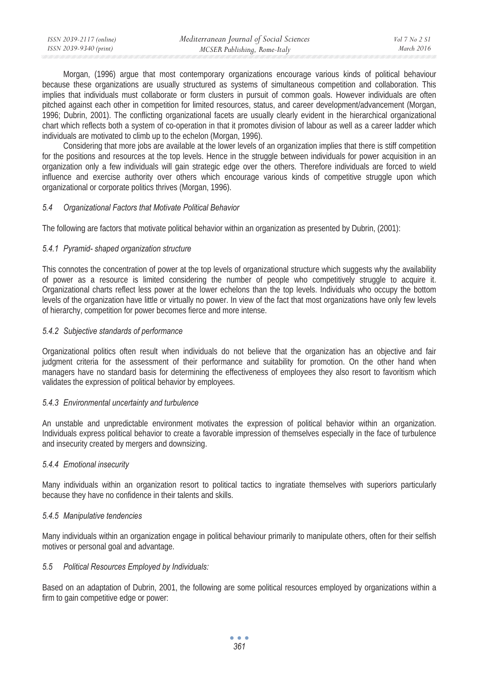| ISSN 2039-2117 (online) | Mediterranean Journal of Social Sciences | Vol 7 No 2 SI |
|-------------------------|------------------------------------------|---------------|
| ISSN 2039-9340 (print)  | MCSER Publishing, Rome-Italy             | March 2016    |

Morgan, (1996) argue that most contemporary organizations encourage various kinds of political behaviour because these organizations are usually structured as systems of simultaneous competition and collaboration. This implies that individuals must collaborate or form clusters in pursuit of common goals. However individuals are often pitched against each other in competition for limited resources, status, and career development/advancement (Morgan, 1996; Dubrin, 2001). The conflicting organizational facets are usually clearly evident in the hierarchical organizational chart which reflects both a system of co-operation in that it promotes division of labour as well as a career ladder which individuals are motivated to climb up to the echelon (Morgan, 1996).

Considering that more jobs are available at the lower levels of an organization implies that there is stiff competition for the positions and resources at the top levels. Hence in the struggle between individuals for power acquisition in an organization only a few individuals will gain strategic edge over the others. Therefore individuals are forced to wield influence and exercise authority over others which encourage various kinds of competitive struggle upon which organizational or corporate politics thrives (Morgan, 1996).

#### *5.4 Organizational Factors that Motivate Political Behavior*

The following are factors that motivate political behavior within an organization as presented by Dubrin, (2001):

#### *5.4.1 Pyramid- shaped organization structure*

This connotes the concentration of power at the top levels of organizational structure which suggests why the availability of power as a resource is limited considering the number of people who competitively struggle to acquire it. Organizational charts reflect less power at the lower echelons than the top levels. Individuals who occupy the bottom levels of the organization have little or virtually no power. In view of the fact that most organizations have only few levels of hierarchy, competition for power becomes fierce and more intense.

#### *5.4.2 Subjective standards of performance*

Organizational politics often result when individuals do not believe that the organization has an objective and fair judgment criteria for the assessment of their performance and suitability for promotion. On the other hand when managers have no standard basis for determining the effectiveness of employees they also resort to favoritism which validates the expression of political behavior by employees.

#### *5.4.3 Environmental uncertainty and turbulence*

An unstable and unpredictable environment motivates the expression of political behavior within an organization. Individuals express political behavior to create a favorable impression of themselves especially in the face of turbulence and insecurity created by mergers and downsizing.

#### *5.4.4 Emotional insecurity*

Many individuals within an organization resort to political tactics to ingratiate themselves with superiors particularly because they have no confidence in their talents and skills.

#### *5.4.5 Manipulative tendencies*

Many individuals within an organization engage in political behaviour primarily to manipulate others, often for their selfish motives or personal goal and advantage.

### *5.5 Political Resources Employed by Individuals:*

Based on an adaptation of Dubrin, 2001, the following are some political resources employed by organizations within a firm to gain competitive edge or power: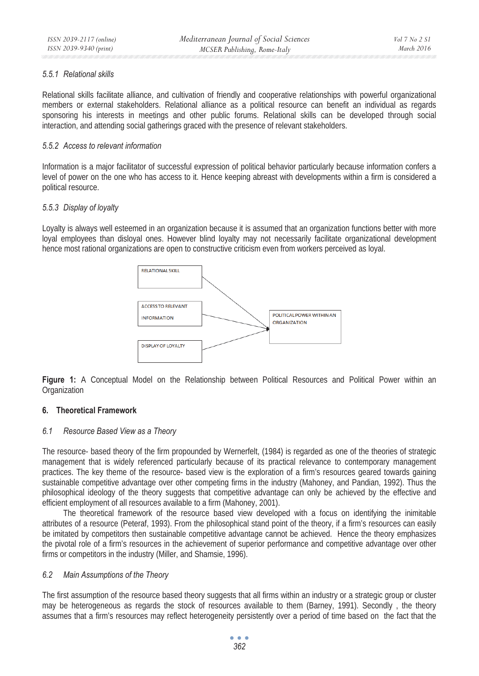#### *5.5.1 Relational skills*

Relational skills facilitate alliance, and cultivation of friendly and cooperative relationships with powerful organizational members or external stakeholders. Relational alliance as a political resource can benefit an individual as regards sponsoring his interests in meetings and other public forums. Relational skills can be developed through social interaction, and attending social gatherings graced with the presence of relevant stakeholders.

#### *5.5.2 Access to relevant information*

Information is a major facilitator of successful expression of political behavior particularly because information confers a level of power on the one who has access to it. Hence keeping abreast with developments within a firm is considered a political resource.

#### *5.5.3 Display of loyalty*

Loyalty is always well esteemed in an organization because it is assumed that an organization functions better with more loyal employees than disloyal ones. However blind loyalty may not necessarily facilitate organizational development hence most rational organizations are open to constructive criticism even from workers perceived as loyal.



Figure 1: A Conceptual Model on the Relationship between Political Resources and Political Power within an **Organization** 

### **6. Theoretical Framework**

#### *6.1 Resource Based View as a Theory*

The resource- based theory of the firm propounded by Wernerfelt, (1984) is regarded as one of the theories of strategic management that is widely referenced particularly because of its practical relevance to contemporary management practices. The key theme of the resource- based view is the exploration of a firm's resources geared towards gaining sustainable competitive advantage over other competing firms in the industry (Mahoney, and Pandian, 1992). Thus the philosophical ideology of the theory suggests that competitive advantage can only be achieved by the effective and efficient employment of all resources available to a firm (Mahoney, 2001).

The theoretical framework of the resource based view developed with a focus on identifying the inimitable attributes of a resource (Peteraf, 1993). From the philosophical stand point of the theory, if a firm's resources can easily be imitated by competitors then sustainable competitive advantage cannot be achieved. Hence the theory emphasizes the pivotal role of a firm's resources in the achievement of superior performance and competitive advantage over other firms or competitors in the industry (Miller, and Shamsie, 1996).

#### *6.2 Main Assumptions of the Theory*

The first assumption of the resource based theory suggests that all firms within an industry or a strategic group or cluster may be heterogeneous as regards the stock of resources available to them (Barney, 1991). Secondly , the theory assumes that a firm's resources may reflect heterogeneity persistently over a period of time based on the fact that the

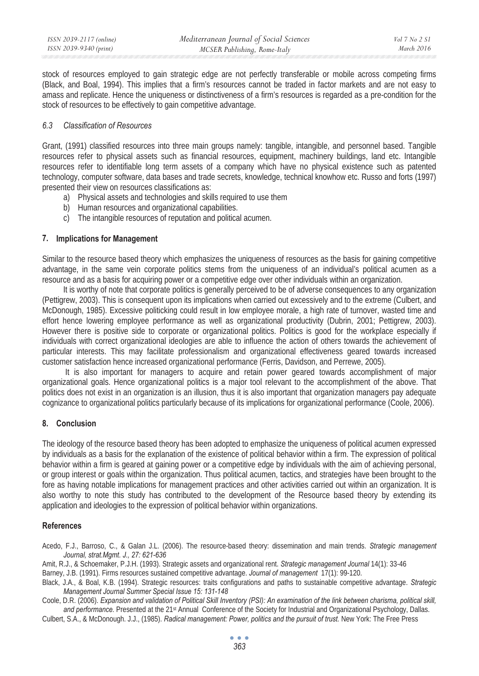| ISSN 2039-2117 (online) | Mediterranean Journal of Social Sciences | Vol 7 No 2 S1 |
|-------------------------|------------------------------------------|---------------|
| ISSN 2039-9340 (print)  | MCSER Publishing, Rome-Italy             | March 2016    |

stock of resources employed to gain strategic edge are not perfectly transferable or mobile across competing firms (Black, and Boal, 1994). This implies that a firm's resources cannot be traded in factor markets and are not easy to amass and replicate. Hence the uniqueness or distinctiveness of a firm's resources is regarded as a pre-condition for the stock of resources to be effectively to gain competitive advantage.

#### *6.3 Classification of Resources*

Grant, (1991) classified resources into three main groups namely: tangible, intangible, and personnel based. Tangible resources refer to physical assets such as financial resources, equipment, machinery buildings, land etc. Intangible resources refer to identifiable long term assets of a company which have no physical existence such as patented technology, computer software, data bases and trade secrets, knowledge, technical knowhow etc. Russo and forts (1997) presented their view on resources classifications as:

- a) Physical assets and technologies and skills required to use them
- b) Human resources and organizational capabilities.
- c) The intangible resources of reputation and political acumen.

#### **7. Implications for Management**

Similar to the resource based theory which emphasizes the uniqueness of resources as the basis for gaining competitive advantage, in the same vein corporate politics stems from the uniqueness of an individual's political acumen as a resource and as a basis for acquiring power or a competitive edge over other individuals within an organization.

It is worthy of note that corporate politics is generally perceived to be of adverse consequences to any organization (Pettigrew, 2003). This is consequent upon its implications when carried out excessively and to the extreme (Culbert, and McDonough, 1985). Excessive politicking could result in low employee morale, a high rate of turnover, wasted time and effort hence lowering employee performance as well as organizational productivity (Dubrin, 2001; Pettigrew, 2003). However there is positive side to corporate or organizational politics. Politics is good for the workplace especially if individuals with correct organizational ideologies are able to influence the action of others towards the achievement of particular interests. This may facilitate professionalism and organizational effectiveness geared towards increased customer satisfaction hence increased organizational performance (Ferris, Davidson, and Perrewe, 2005).

 It is also important for managers to acquire and retain power geared towards accomplishment of major organizational goals. Hence organizational politics is a major tool relevant to the accomplishment of the above. That politics does not exist in an organization is an illusion, thus it is also important that organization managers pay adequate cognizance to organizational politics particularly because of its implications for organizational performance (Coole, 2006).

#### **8. Conclusion**

The ideology of the resource based theory has been adopted to emphasize the uniqueness of political acumen expressed by individuals as a basis for the explanation of the existence of political behavior within a firm. The expression of political behavior within a firm is geared at gaining power or a competitive edge by individuals with the aim of achieving personal, or group interest or goals within the organization. Thus political acumen, tactics, and strategies have been brought to the fore as having notable implications for management practices and other activities carried out within an organization. It is also worthy to note this study has contributed to the development of the Resource based theory by extending its application and ideologies to the expression of political behavior within organizations.

#### **References**

Acedo, F.J., Barroso, C., & Galan J.L. (2006). The resource-based theory: dissemination and main trends. *Strategic management Journal, strat.Mgmt. J., 27: 621-636* 

Amit, R.J., & Schoemaker, P.J.H. (1993). Strategic assets and organizational rent. *Strategic management Journal* 14(1): 33-46 Barney, J.B. (1991). Firms resources sustained competitive advantage. *Journal of management* 17(1): 99-120.

Black, J.A., & Boal, K.B. (1994). Strategic resources: traits configurations and paths to sustainable competitive advantage. *Strategic Management Journal Summer Special Issue 15: 131-148* 

Coole, D.R. (2006). *Expansion and validation of Political Skill Inventory (PSI): An examination of the link between charisma, political skill,*  and performance. Presented at the 21st Annual Conference of the Society for Industrial and Organizational Psychology, Dallas.

Culbert, S.A., & McDonough. J.J., (1985). *Radical management: Power, politics and the pursuit of trust.* New York: The Free Press